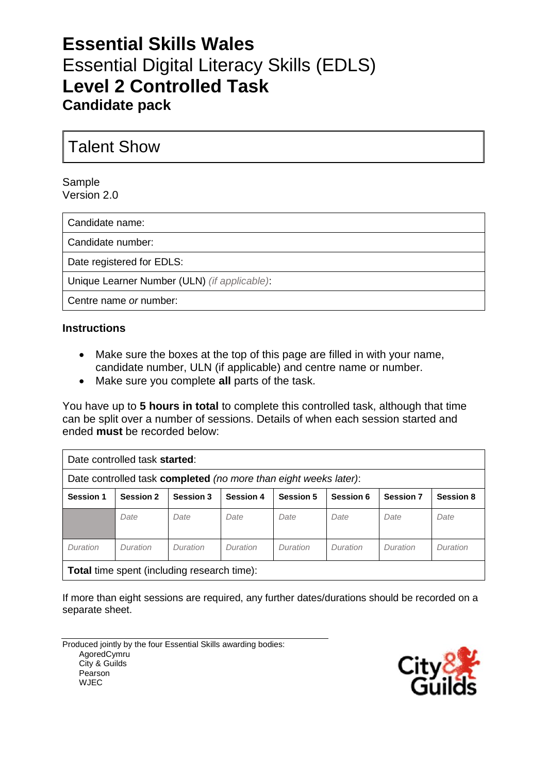# **Essential Skills Wales** Essential Digital Literacy Skills (EDLS) **Level 2 Controlled Task Candidate pack**

## Talent Show

#### Sample Version 2.0

Candidate name:

Candidate number:

Date registered for EDLS:

Unique Learner Number (ULN) *(if applicable)*:

Centre name *or* number:

#### **Instructions**

- Make sure the boxes at the top of this page are filled in with your name, candidate number, ULN (if applicable) and centre name or number.
- Make sure you complete **all** parts of the task.

You have up to **5 hours in total** to complete this controlled task, although that time can be split over a number of sessions. Details of when each session started and ended **must** be recorded below:

| Date controlled task started:                                    |                  |                  |                  |           |           |                  |                  |  |
|------------------------------------------------------------------|------------------|------------------|------------------|-----------|-----------|------------------|------------------|--|
| Date controlled task completed (no more than eight weeks later): |                  |                  |                  |           |           |                  |                  |  |
| <b>Session 1</b>                                                 | <b>Session 2</b> | <b>Session 3</b> | <b>Session 4</b> | Session 5 | Session 6 | <b>Session 7</b> | <b>Session 8</b> |  |
|                                                                  | Date             | Date             | Date             | Date      | Date      | Date             | Date             |  |
| Duration                                                         | Duration         | Duration         | Duration         | Duration  | Duration  | Duration         | Duration         |  |
| Total time spent (including research time):                      |                  |                  |                  |           |           |                  |                  |  |

**Total** time spent (including research time):

If more than eight sessions are required, any further dates/durations should be recorded on a separate sheet.

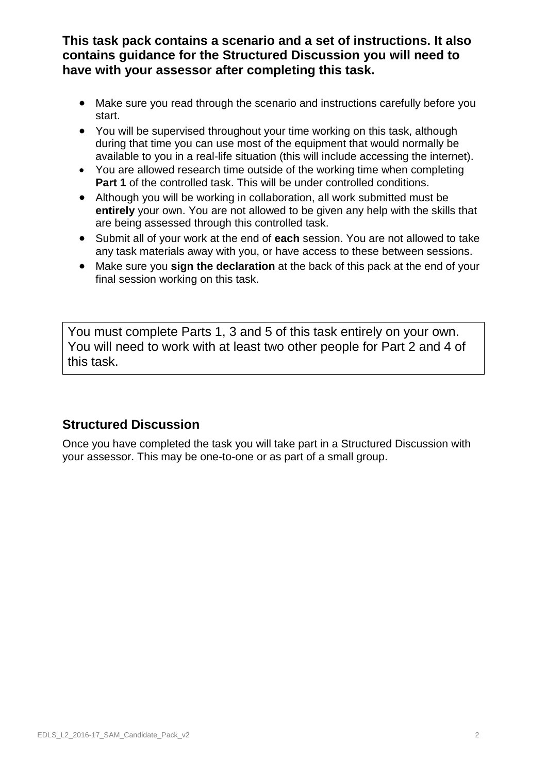**This task pack contains a scenario and a set of instructions. It also contains guidance for the Structured Discussion you will need to have with your assessor after completing this task.**

- Make sure you read through the scenario and instructions carefully before you start.
- You will be supervised throughout your time working on this task, although during that time you can use most of the equipment that would normally be available to you in a real-life situation (this will include accessing the internet).
- You are allowed research time outside of the working time when completing **Part 1** of the controlled task. This will be under controlled conditions.
- Although you will be working in collaboration, all work submitted must be **entirely** your own. You are not allowed to be given any help with the skills that are being assessed through this controlled task.
- Submit all of your work at the end of **each** session. You are not allowed to take any task materials away with you, or have access to these between sessions.
- Make sure you **sign the declaration** at the back of this pack at the end of your final session working on this task.

You must complete Parts 1, 3 and 5 of this task entirely on your own. You will need to work with at least two other people for Part 2 and 4 of this task.

### **Structured Discussion**

Once you have completed the task you will take part in a Structured Discussion with your assessor. This may be one-to-one or as part of a small group.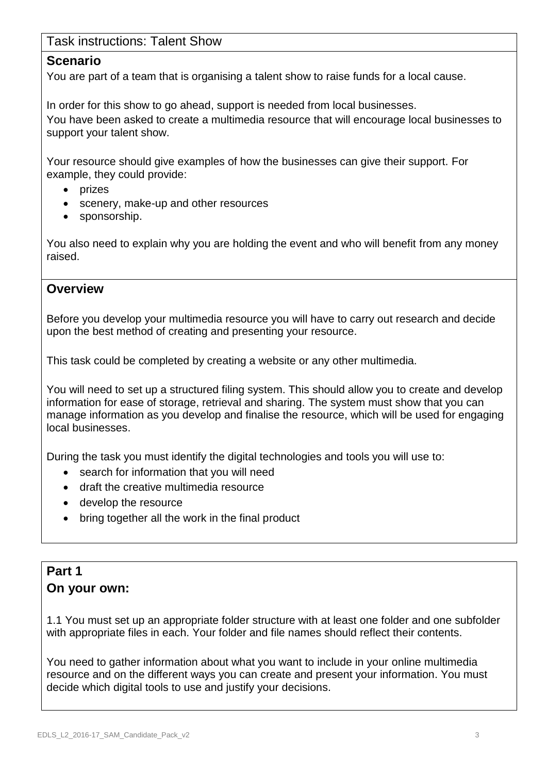### Task instructions: Talent Show

#### **Scenario**

You are part of a team that is organising a talent show to raise funds for a local cause.

In order for this show to go ahead, support is needed from local businesses.

You have been asked to create a multimedia resource that will encourage local businesses to support your talent show.

Your resource should give examples of how the businesses can give their support. For example, they could provide:

- prizes
- scenery, make-up and other resources
- sponsorship.

You also need to explain why you are holding the event and who will benefit from any money raised.

#### **Overview**

Before you develop your multimedia resource you will have to carry out research and decide upon the best method of creating and presenting your resource.

This task could be completed by creating a website or any other multimedia.

You will need to set up a structured filing system. This should allow you to create and develop information for ease of storage, retrieval and sharing. The system must show that you can manage information as you develop and finalise the resource, which will be used for engaging local businesses.

During the task you must identify the digital technologies and tools you will use to:

- search for information that you will need
- draft the creative multimedia resource
- develop the resource
- bring together all the work in the final product

### **Part 1 On your own:**

1.1 You must set up an appropriate folder structure with at least one folder and one subfolder with appropriate files in each. Your folder and file names should reflect their contents.

You need to gather information about what you want to include in your online multimedia resource and on the different ways you can create and present your information. You must decide which digital tools to use and justify your decisions.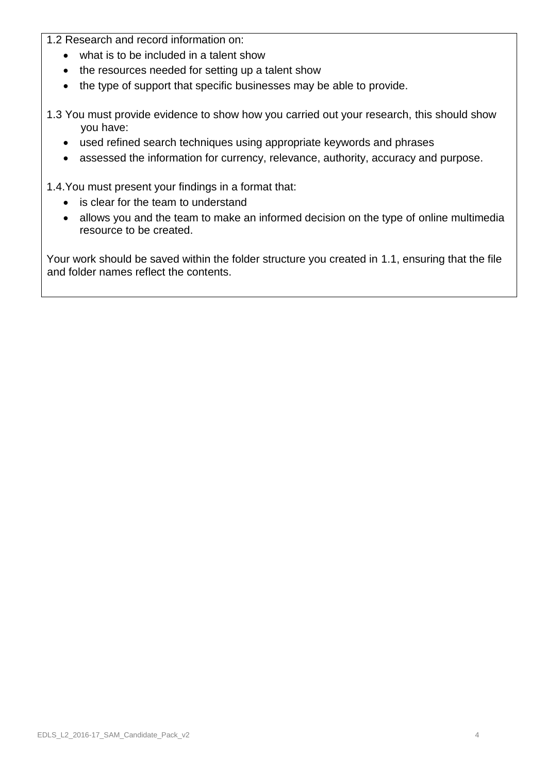1.2 Research and record information on:

- what is to be included in a talent show
- the resources needed for setting up a talent show
- the type of support that specific businesses may be able to provide.
- 1.3 You must provide evidence to show how you carried out your research, this should show you have:
	- used refined search techniques using appropriate keywords and phrases
	- assessed the information for currency, relevance, authority, accuracy and purpose.

1.4.You must present your findings in a format that:

- is clear for the team to understand
- allows you and the team to make an informed decision on the type of online multimedia resource to be created.

Your work should be saved within the folder structure you created in 1.1, ensuring that the file and folder names reflect the contents.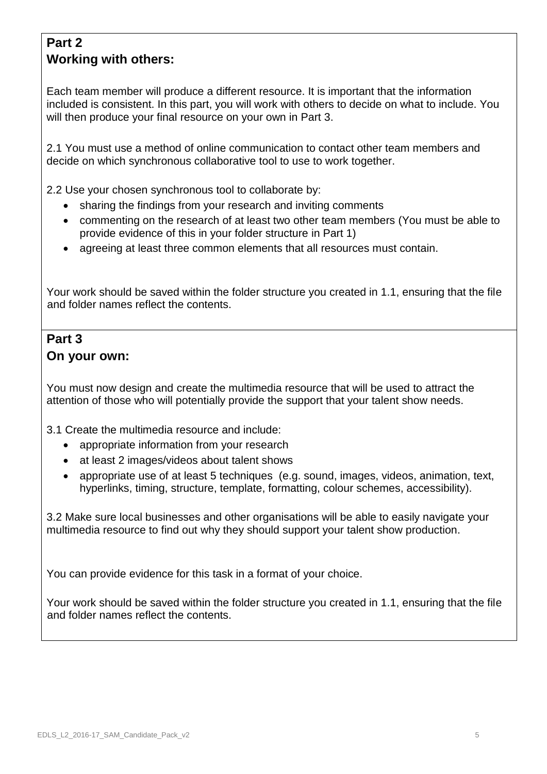## **Part 2 Working with others:**

Each team member will produce a different resource. It is important that the information included is consistent. In this part, you will work with others to decide on what to include. You will then produce your final resource on your own in Part 3.

2.1 You must use a method of online communication to contact other team members and decide on which synchronous collaborative tool to use to work together.

2.2 Use your chosen synchronous tool to collaborate by:

- sharing the findings from your research and inviting comments
- commenting on the research of at least two other team members (You must be able to provide evidence of this in your folder structure in Part 1)
- agreeing at least three common elements that all resources must contain.

Your work should be saved within the folder structure you created in 1.1, ensuring that the file and folder names reflect the contents.

### **Part 3 On your own:**

You must now design and create the multimedia resource that will be used to attract the attention of those who will potentially provide the support that your talent show needs.

3.1 Create the multimedia resource and include:

- appropriate information from your research
- at least 2 images/videos about talent shows
- appropriate use of at least 5 techniques (e.g. sound, images, videos, animation, text, hyperlinks, timing, structure, template, formatting, colour schemes, accessibility).

3.2 Make sure local businesses and other organisations will be able to easily navigate your multimedia resource to find out why they should support your talent show production.

You can provide evidence for this task in a format of your choice.

Your work should be saved within the folder structure you created in 1.1, ensuring that the file and folder names reflect the contents.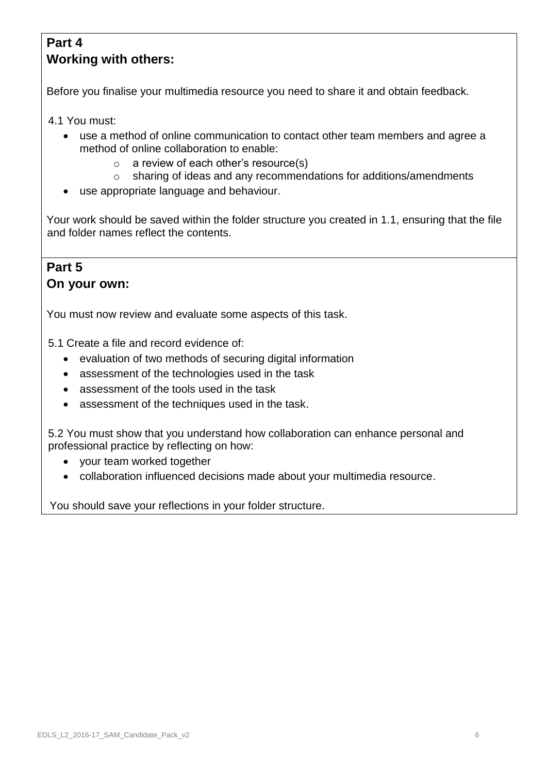### **Part 4 Working with others:**

Before you finalise your multimedia resource you need to share it and obtain feedback.

4.1 You must:

- use a method of online communication to contact other team members and agree a method of online collaboration to enable:
	- o a review of each other's resource(s)
	- o sharing of ideas and any recommendations for additions/amendments
- use appropriate language and behaviour.

Your work should be saved within the folder structure you created in 1.1, ensuring that the file and folder names reflect the contents.

### **Part 5 On your own:**

You must now review and evaluate some aspects of this task.

5.1 Create a file and record evidence of:

- evaluation of two methods of securing digital information
- assessment of the technologies used in the task
- assessment of the tools used in the task
- assessment of the techniques used in the task.

5.2 You must show that you understand how collaboration can enhance personal and professional practice by reflecting on how:

- your team worked together
- collaboration influenced decisions made about your multimedia resource.

You should save your reflections in your folder structure.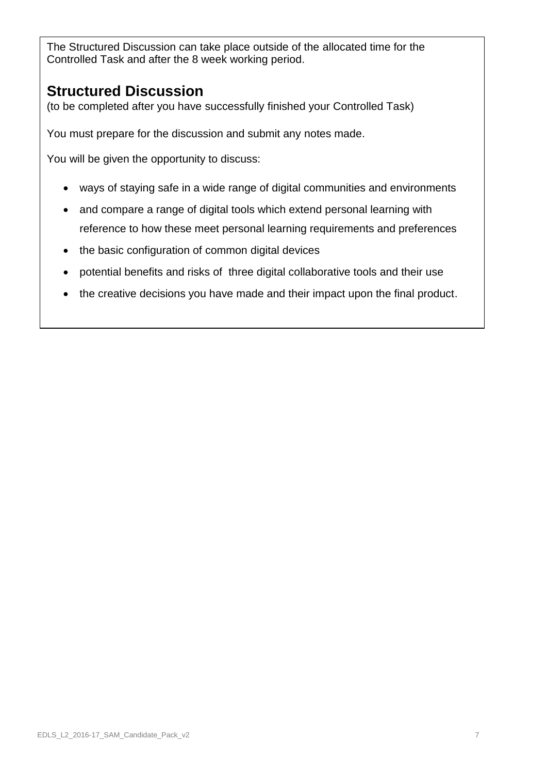The Structured Discussion can take place outside of the allocated time for the Controlled Task and after the 8 week working period.

## **Structured Discussion**

(to be completed after you have successfully finished your Controlled Task)

You must prepare for the discussion and submit any notes made.

You will be given the opportunity to discuss:

- ways of staying safe in a wide range of digital communities and environments
- and compare a range of digital tools which extend personal learning with reference to how these meet personal learning requirements and preferences
- the basic configuration of common digital devices
- potential benefits and risks of three digital collaborative tools and their use
- the creative decisions you have made and their impact upon the final product.